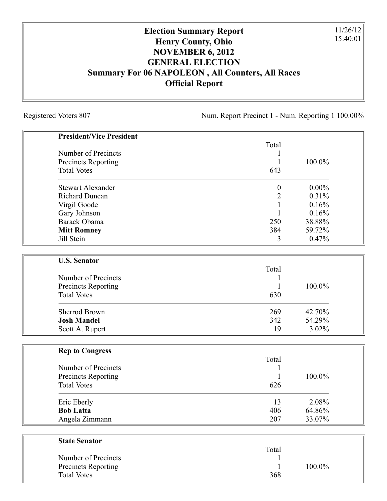## **Election Summary Report Henry County, Ohio NOVEMBER 6, 2012 GENERAL ELECTION Summary For 06 NAPOLEON , All Counters, All Races Official Report**

Registered Voters 807 Num. Report Precinct 1 - Num. Reporting 1 100.00%

11/26/12 15:40:01

| <b>President/Vice President</b> |                  |           |
|---------------------------------|------------------|-----------|
|                                 | Total            |           |
| Number of Precincts             |                  |           |
| Precincts Reporting             | 1                | 100.0%    |
| <b>Total Votes</b>              | 643              |           |
| <b>Stewart Alexander</b>        | $\boldsymbol{0}$ | $0.00\%$  |
| <b>Richard Duncan</b>           | $\overline{c}$   | 0.31%     |
| Virgil Goode                    |                  | 0.16%     |
| Gary Johnson                    |                  | 0.16%     |
| Barack Obama                    | 250              | 38.88%    |
| <b>Mitt Romney</b>              | 384              | 59.72%    |
| Jill Stein                      | 3                | 0.47%     |
| <b>U.S. Senator</b>             |                  |           |
|                                 | Total            |           |
| Number of Precincts             |                  |           |
| <b>Precincts Reporting</b>      |                  | 100.0%    |
| <b>Total Votes</b>              | 630              |           |
| Sherrod Brown                   | 269              | 42.70%    |
| <b>Josh Mandel</b>              | 342              | 54.29%    |
| Scott A. Rupert                 | 19               | 3.02%     |
| <b>Rep to Congress</b>          |                  |           |
|                                 | Total            |           |
| Number of Precincts             |                  |           |
| Precincts Reporting             | 1                | 100.0%    |
| <b>Total Votes</b>              | 626              |           |
| Eric Eberly                     | 13               | 2.08%     |
| <b>Bob Latta</b>                | 406              | $64.86\%$ |
| Angela Zimmann                  | 207              | 33.07%    |
| <b>State Senator</b>            |                  |           |
|                                 | Total            |           |
| Number of Precincts             |                  |           |

Precincts Reporting 1 100.0%

Total Votes 368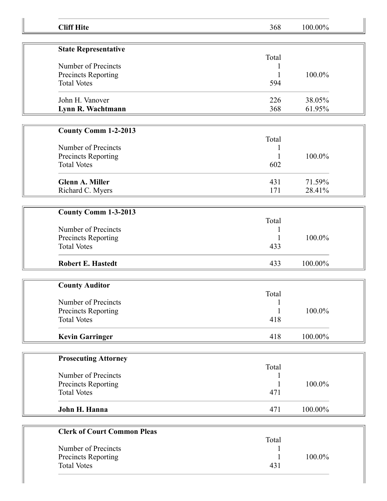| <b>Cliff Hite</b>                  | 368          | 100.00% |  |
|------------------------------------|--------------|---------|--|
|                                    |              |         |  |
| <b>State Representative</b>        | Total        |         |  |
| Number of Precincts                |              |         |  |
| Precincts Reporting                | 1            | 100.0%  |  |
| <b>Total Votes</b>                 | 594          |         |  |
| John H. Vanover                    | 226          | 38.05%  |  |
| Lynn R. Wachtmann                  | 368          | 61.95%  |  |
|                                    |              |         |  |
| <b>County Comm 1-2-2013</b>        | Total        |         |  |
| Number of Precincts                | 1            |         |  |
| Precincts Reporting                |              | 100.0%  |  |
| <b>Total Votes</b>                 | 602          |         |  |
| <b>Glenn A. Miller</b>             | 431          | 71.59%  |  |
| Richard C. Myers                   | 171          | 28.41%  |  |
|                                    |              |         |  |
| County Comm 1-3-2013               |              |         |  |
|                                    | Total        |         |  |
| Number of Precincts                |              |         |  |
| Precincts Reporting                |              | 100.0%  |  |
| <b>Total Votes</b>                 | 433          |         |  |
| <b>Robert E. Hastedt</b>           | 433          | 100.00% |  |
|                                    |              |         |  |
| <b>County Auditor</b>              |              |         |  |
|                                    | Total        |         |  |
| Number of Precincts                | $\mathbf{1}$ |         |  |
| Precincts Reporting                | $\mathbf{1}$ | 100.0%  |  |
| <b>Total Votes</b>                 | 418          |         |  |
| <b>Kevin Garringer</b>             | 418          | 100.00% |  |
|                                    |              |         |  |
| <b>Prosecuting Attorney</b>        |              |         |  |
|                                    | Total        |         |  |
| Number of Precincts                |              |         |  |
| Precincts Reporting                |              | 100.0%  |  |
| <b>Total Votes</b>                 | 471          |         |  |
| John H. Hanna                      | 471          | 100.00% |  |
|                                    |              |         |  |
| <b>Clerk of Court Common Pleas</b> |              |         |  |
|                                    | Total        |         |  |
| Number of Precincts                |              |         |  |
| Precincts Reporting                |              | 100.0%  |  |
| <b>Total Votes</b>                 | 431          |         |  |
|                                    |              |         |  |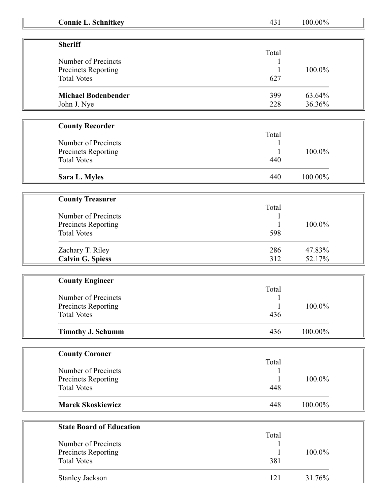| <b>Connie L. Schnitkey</b> |  |  |  |  |
|----------------------------|--|--|--|--|
|----------------------------|--|--|--|--|

**Connect 231** 100.00%

| <b>Sheriff</b>                             | Total |        |
|--------------------------------------------|-------|--------|
| Number of Precincts<br>Precincts Reporting |       | 100.0% |
|                                            |       |        |
| <b>Total Votes</b>                         | 627   |        |
| <b>Michael Bodenbender</b>                 | 399   | 63.64% |
| John J. Nye                                | 228   | 36.36% |

| <b>County Recorder</b> |       |         |  |
|------------------------|-------|---------|--|
|                        | Total |         |  |
| Number of Precincts    |       |         |  |
| Precincts Reporting    |       | 100.0%  |  |
| <b>Total Votes</b>     | 440   |         |  |
| Sara L. Myles          | 440   | 100.00% |  |

| <b>County Treasurer</b>    |       |        |
|----------------------------|-------|--------|
|                            | Total |        |
| Number of Precincts        |       |        |
| <b>Precincts Reporting</b> |       | 100.0% |
| <b>Total Votes</b>         | 598   |        |
| Zachary T. Riley           | 286   | 47.83% |
| <b>Calvin G. Spiess</b>    | 312   | 52.17% |

| <b>County Engineer</b>   |       |         |
|--------------------------|-------|---------|
|                          | Total |         |
| Number of Precincts      |       |         |
| Precincts Reporting      |       | 100.0%  |
| <b>Total Votes</b>       | 436   |         |
| <b>Timothy J. Schumm</b> | 436   | 100.00% |

| <b>County Coroner</b>    |       |         |
|--------------------------|-------|---------|
|                          | Total |         |
| Number of Precincts      |       |         |
| Precincts Reporting      |       | 100.0%  |
| <b>Total Votes</b>       | 448   |         |
| <b>Marek Skoskiewicz</b> | 448   | 100.00% |

| <b>State Board of Education</b> |       |        |
|---------------------------------|-------|--------|
|                                 | Total |        |
| Number of Precincts             |       |        |
| Precincts Reporting             |       | 100.0% |
| <b>Total Votes</b>              | 381   |        |
| <b>Stanley Jackson</b>          |       | 31.76% |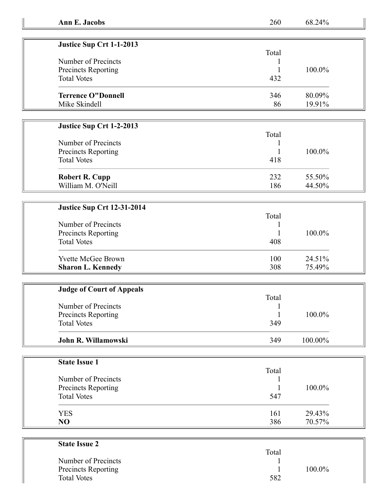| Ann E. Jacobs | 260 | 68.24% |
|---------------|-----|--------|
|---------------|-----|--------|

| Justice Sup Crt 1-1-2013   |       |           |
|----------------------------|-------|-----------|
|                            | Total |           |
| Number of Precincts        |       |           |
| <b>Precincts Reporting</b> |       | $100.0\%$ |
| <b>Total Votes</b>         | 432   |           |
| <b>Terrence O"Donnell</b>  | 346   | 80.09%    |
| Mike Skindell              | 86    | 19.91%    |

## **Justice Sup Crt 1-2-2013**

|                       | Total |        |
|-----------------------|-------|--------|
| Number of Precincts   |       |        |
| Precincts Reporting   |       | 100.0% |
| <b>Total Votes</b>    | 418   |        |
| <b>Robert R. Cupp</b> | 232   | 55.50% |
| William M. O'Neill    | 186   | 44.50% |

## **Justice Sup Crt 12-31-2014**

| Number of Precincts<br>Precincts Reporting<br><b>Total Votes</b> | Total<br>408 | 100.0% |
|------------------------------------------------------------------|--------------|--------|
| <b>Yvette McGee Brown</b>                                        | 100          | 24.51% |
| <b>Sharon L. Kennedy</b>                                         | 308          | 75.49% |

| <b>Judge of Court of Appeals</b> |       |            |  |
|----------------------------------|-------|------------|--|
|                                  | Total |            |  |
| Number of Precincts              |       |            |  |
| Precincts Reporting              |       | 100.0%     |  |
| <b>Total Votes</b>               | 349   |            |  |
| John R. Willamowski              | 349   | $100.00\%$ |  |

| <b>State Issue 1</b> |       |        |
|----------------------|-------|--------|
|                      | Total |        |
| Number of Precincts  |       |        |
| Precincts Reporting  |       | 100.0% |
| <b>Total Votes</b>   | 547   |        |
| <b>YES</b>           | 161   | 29.43% |
| N <sub>O</sub>       | 386   | 70.57% |

| <b>State Issue 2</b>       |       |        |
|----------------------------|-------|--------|
|                            | Total |        |
| Number of Precincts        |       |        |
| <b>Precincts Reporting</b> |       | 100.0% |
| <b>Total Votes</b>         | 582   |        |